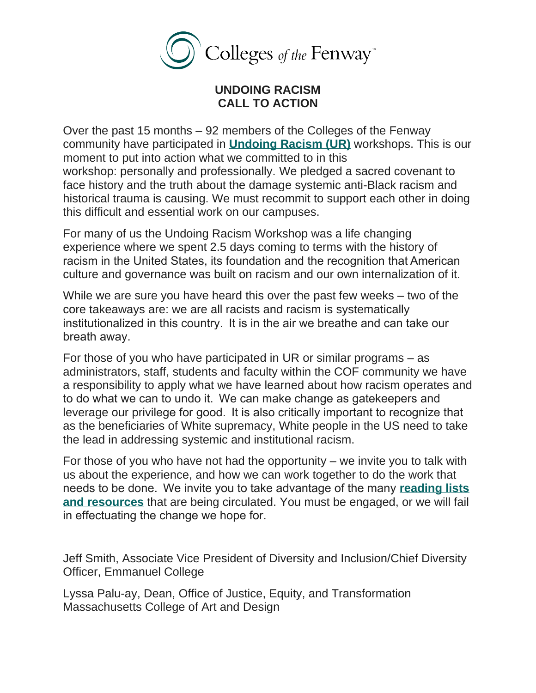

## **UNDOING RACISM CALL TO ACTION**

Over the past 15 months – 92 members of the Colleges of the Fenway community have participated in **[Undoing](http://www.pisab.org/our-principles/) Racism (UR)** workshops. This is our moment to put into action what we committed to in this workshop: personally and professionally. We pledged a sacred covenant to face history and the truth about the damage systemic anti-Black racism and historical trauma is causing. We must recommit to support each other in doing this difficult and essential work on our campuses.

For many of us the Undoing Racism Workshop was a life changing experience where we spent 2.5 days coming to terms with the history of racism in the United States, its foundation and the recognition that American culture and governance was built on racism and our own internalization of it.

While we are sure you have heard this over the past few weeks – two of the core takeaways are: we are all racists and racism is systematically institutionalized in this country.  It is in the air we breathe and can take our breath away.  

For those of you who have participated in UR or similar programs – as administrators, staff, students and faculty within the COF community we have a responsibility to apply what we have learned about how racism operates and to do what we can to undo it.  We can make change as gatekeepers and leverage our privilege for good.  It is also critically important to recognize that as the beneficiaries of White supremacy, White people in the US need to take the lead in addressing systemic and institutional racism.

For those of you who have not had the opportunity – we invite you to talk with us about the experience, and how we can work together to do the work that needs to be done.  We invite you to take advantage of the many **[reading](http://www.colleges-fenway.org/anti-racism-resources/) lists and [resources](http://www.colleges-fenway.org/anti-racism-resources/)** that are being circulated. You must be engaged, or we will fail in effectuating the change we hope for. 

Jeff Smith, Associate Vice President of Diversity and Inclusion/Chief Diversity Officer, Emmanuel College

Lyssa Palu-ay, Dean, Office of Justice, Equity, and Transformation Massachusetts College of Art and Design